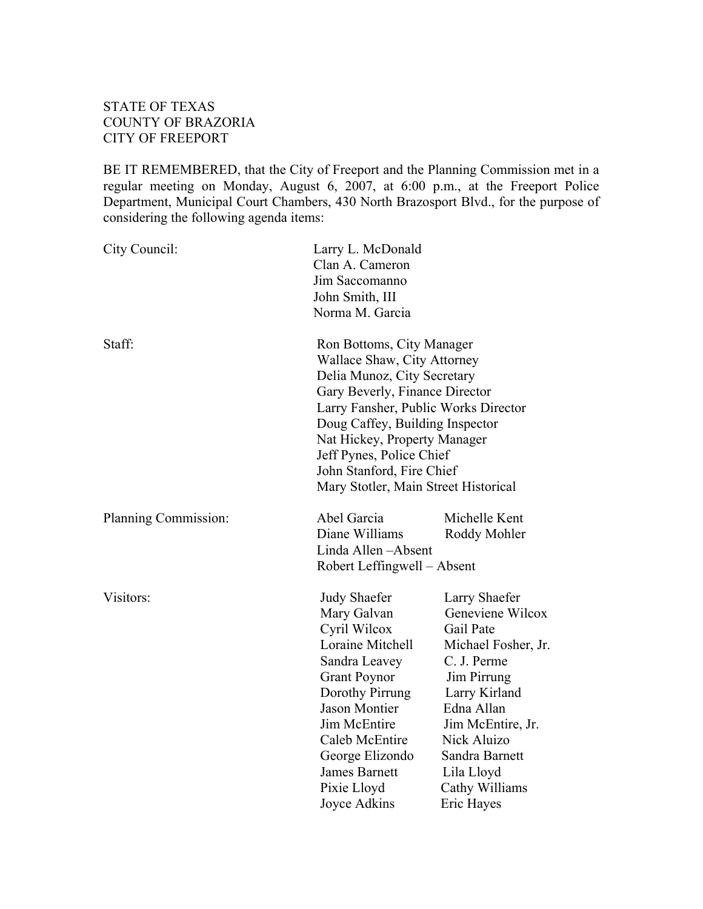## STATE OF TEXAS COUNTY OF BRAZORIA CITY OF FREEPORT

BE IT REMEMBERED, that the City of Freeport and the Planning Commission met in a regular meeting on Monday, August 6, 2007, at 6:00 p.m., at the Freeport Police Department, Municipal Court Chambers, 430 North Brazosport Blvd., for the purpose of considering the following agenda items:

| City Council:        | Larry L. McDonald<br>Clan A. Cameron<br>Jim Saccomanno<br>John Smith, III<br>Norma M. Garcia                                                                                                                                                                                                                                          |                                                                                                                                                                                                                                        |
|----------------------|---------------------------------------------------------------------------------------------------------------------------------------------------------------------------------------------------------------------------------------------------------------------------------------------------------------------------------------|----------------------------------------------------------------------------------------------------------------------------------------------------------------------------------------------------------------------------------------|
| Staff:               | Ron Bottoms, City Manager<br>Wallace Shaw, City Attorney<br>Delia Munoz, City Secretary<br>Gary Beverly, Finance Director<br>Larry Fansher, Public Works Director<br>Doug Caffey, Building Inspector<br>Nat Hickey, Property Manager<br>Jeff Pynes, Police Chief<br>John Stanford, Fire Chief<br>Mary Stotler, Main Street Historical |                                                                                                                                                                                                                                        |
| Planning Commission: | Abel Garcia<br>Diane Williams<br>Linda Allen-Absent<br>Robert Leffingwell - Absent                                                                                                                                                                                                                                                    | Michelle Kent<br>Roddy Mohler                                                                                                                                                                                                          |
| Visitors:            | <b>Judy Shaefer</b><br>Mary Galvan<br>Cyril Wilcox<br>Loraine Mitchell<br>Sandra Leavey<br><b>Grant Poynor</b><br>Dorothy Pirrung<br><b>Jason Montier</b><br>Jim McEntire<br>Caleb McEntire<br>George Elizondo<br><b>James Barnett</b><br>Pixie Lloyd<br>Joyce Adkins                                                                 | Larry Shaefer<br>Geneviene Wilcox<br>Gail Pate<br>Michael Fosher, Jr.<br>C. J. Perme<br>Jim Pirrung<br>Larry Kirland<br>Edna Allan<br>Jim McEntire, Jr.<br>Nick Aluizo<br>Sandra Barnett<br>Lila Lloyd<br>Cathy Williams<br>Eric Hayes |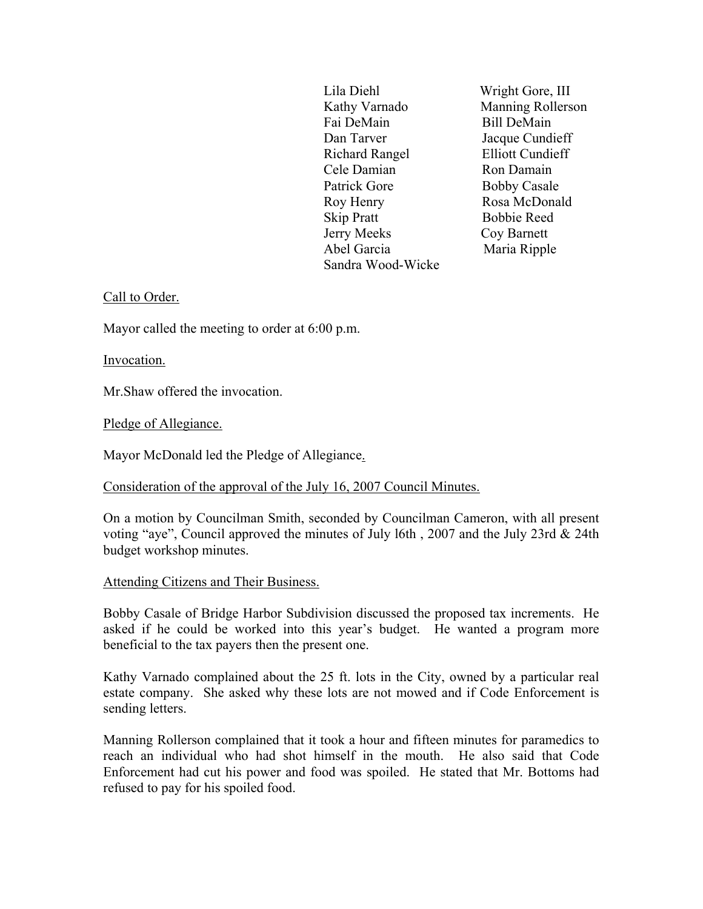Lila Diehl Wright Gore, III Kathy Varnado Manning Rollerson Fai DeMain Bill DeMain Dan Tarver Jacque Cundieff Richard Rangel Elliott Cundieff Cele Damian Ron Damain Patrick Gore Bobby Casale Roy Henry Rosa McDonald Skip Pratt Bobbie Reed Jerry Meeks Coy Barnett Abel Garcia Maria Ripple Sandra Wood-Wicke

### Call to Order.

Mayor called the meeting to order at 6:00 p.m.

Invocation.

Mr.Shaw offered the invocation.

Pledge of Allegiance.

Mayor McDonald led the Pledge of Allegiance.

### Consideration of the approval of the July 16, 2007 Council Minutes.

On a motion by Councilman Smith, seconded by Councilman Cameron, with all present voting "aye", Council approved the minutes of July l6th , 2007 and the July 23rd & 24th budget workshop minutes.

### Attending Citizens and Their Business.

Bobby Casale of Bridge Harbor Subdivision discussed the proposed tax increments. He asked if he could be worked into this year's budget. He wanted a program more beneficial to the tax payers then the present one.

Kathy Varnado complained about the 25 ft. lots in the City, owned by a particular real estate company. She asked why these lots are not mowed and if Code Enforcement is sending letters.

Manning Rollerson complained that it took a hour and fifteen minutes for paramedics to reach an individual who had shot himself in the mouth. He also said that Code Enforcement had cut his power and food was spoiled. He stated that Mr. Bottoms had refused to pay for his spoiled food.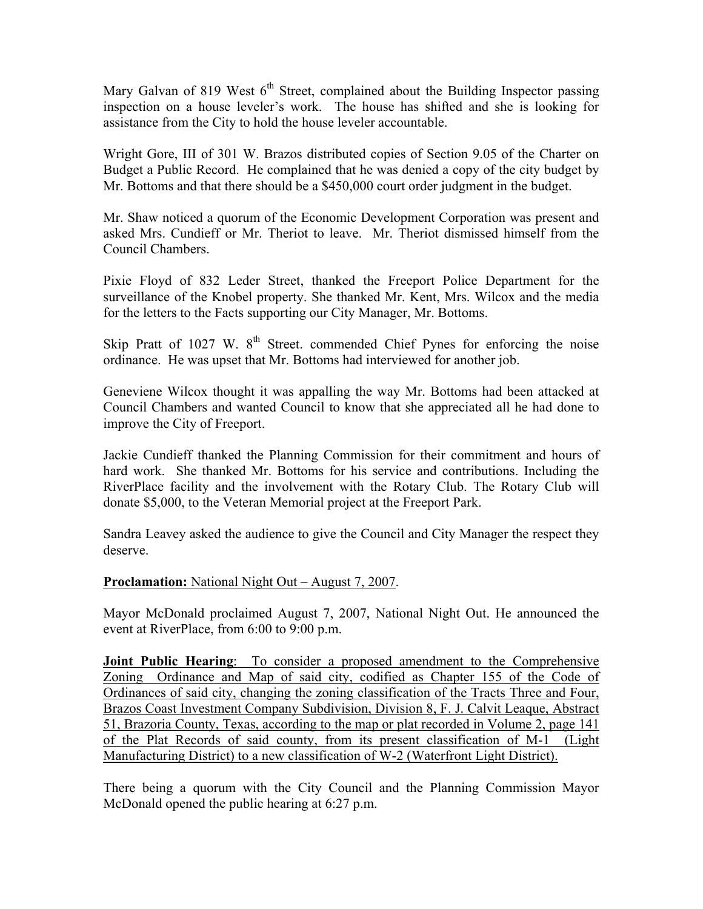Mary Galvan of 819 West  $6<sup>th</sup>$  Street, complained about the Building Inspector passing inspection on a house leveler's work. The house has shifted and she is looking for assistance from the City to hold the house leveler accountable.

Wright Gore, III of 301 W. Brazos distributed copies of Section 9.05 of the Charter on Budget a Public Record. He complained that he was denied a copy of the city budget by Mr. Bottoms and that there should be a \$450,000 court order judgment in the budget.

Mr. Shaw noticed a quorum of the Economic Development Corporation was present and asked Mrs. Cundieff or Mr. Theriot to leave. Mr. Theriot dismissed himself from the Council Chambers.

Pixie Floyd of 832 Leder Street, thanked the Freeport Police Department for the surveillance of the Knobel property. She thanked Mr. Kent, Mrs. Wilcox and the media for the letters to the Facts supporting our City Manager, Mr. Bottoms.

Skip Pratt of 1027 W.  $8<sup>th</sup>$  Street. commended Chief Pynes for enforcing the noise ordinance. He was upset that Mr. Bottoms had interviewed for another job.

Geneviene Wilcox thought it was appalling the way Mr. Bottoms had been attacked at Council Chambers and wanted Council to know that she appreciated all he had done to improve the City of Freeport.

Jackie Cundieff thanked the Planning Commission for their commitment and hours of hard work. She thanked Mr. Bottoms for his service and contributions. Including the RiverPlace facility and the involvement with the Rotary Club. The Rotary Club will donate \$5,000, to the Veteran Memorial project at the Freeport Park.

Sandra Leavey asked the audience to give the Council and City Manager the respect they deserve.

### **Proclamation:** National Night Out – August 7, 2007.

Mayor McDonald proclaimed August 7, 2007, National Night Out. He announced the event at RiverPlace, from 6:00 to 9:00 p.m.

**Joint Public Hearing**: To consider a proposed amendment to the Comprehensive Zoning Ordinance and Map of said city, codified as Chapter 155 of the Code of Ordinances of said city, changing the zoning classification of the Tracts Three and Four, Brazos Coast Investment Company Subdivision, Division 8, F. J. Calvit Leaque, Abstract 51, Brazoria County, Texas, according to the map or plat recorded in Volume 2, page 141 of the Plat Records of said county, from its present classification of M-1 (Light Manufacturing District) to a new classification of W-2 (Waterfront Light District).

There being a quorum with the City Council and the Planning Commission Mayor McDonald opened the public hearing at 6:27 p.m.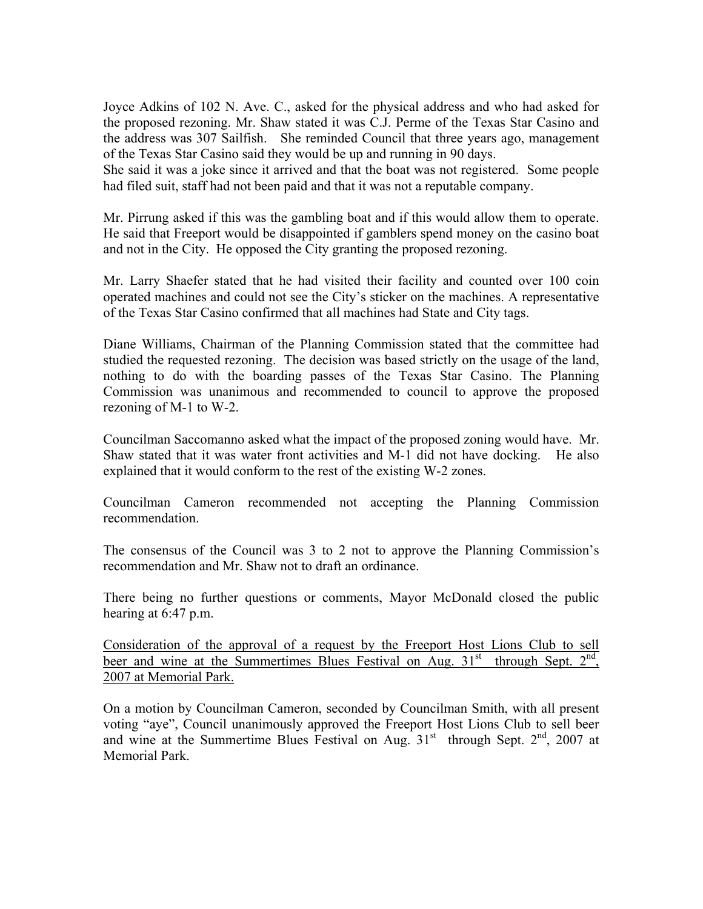Joyce Adkins of 102 N. Ave. C., asked for the physical address and who had asked for the proposed rezoning. Mr. Shaw stated it was C.J. Perme of the Texas Star Casino and the address was 307 Sailfish. She reminded Council that three years ago, management of the Texas Star Casino said they would be up and running in 90 days.

She said it was a joke since it arrived and that the boat was not registered. Some people had filed suit, staff had not been paid and that it was not a reputable company.

Mr. Pirrung asked if this was the gambling boat and if this would allow them to operate. He said that Freeport would be disappointed if gamblers spend money on the casino boat and not in the City. He opposed the City granting the proposed rezoning.

Mr. Larry Shaefer stated that he had visited their facility and counted over 100 coin operated machines and could not see the City's sticker on the machines. A representative of the Texas Star Casino confirmed that all machines had State and City tags.

Diane Williams, Chairman of the Planning Commission stated that the committee had studied the requested rezoning. The decision was based strictly on the usage of the land, nothing to do with the boarding passes of the Texas Star Casino. The Planning Commission was unanimous and recommended to council to approve the proposed rezoning of M-1 to W-2.

Councilman Saccomanno asked what the impact of the proposed zoning would have. Mr. Shaw stated that it was water front activities and M-1 did not have docking. He also explained that it would conform to the rest of the existing W-2 zones.

Councilman Cameron recommended not accepting the Planning Commission recommendation.

The consensus of the Council was 3 to 2 not to approve the Planning Commission's recommendation and Mr. Shaw not to draft an ordinance.

There being no further questions or comments, Mayor McDonald closed the public hearing at 6:47 p.m.

Consideration of the approval of a request by the Freeport Host Lions Club to sell beer and wine at the Summertimes Blues Festival on Aug.  $31<sup>st</sup>$  through Sept.  $2<sup>nd</sup>$ , 2007 at Memorial Park.

On a motion by Councilman Cameron, seconded by Councilman Smith, with all present voting "aye", Council unanimously approved the Freeport Host Lions Club to sell beer and wine at the Summertime Blues Festival on Aug.  $31<sup>st</sup>$  through Sept.  $2<sup>nd</sup>$ , 2007 at Memorial Park.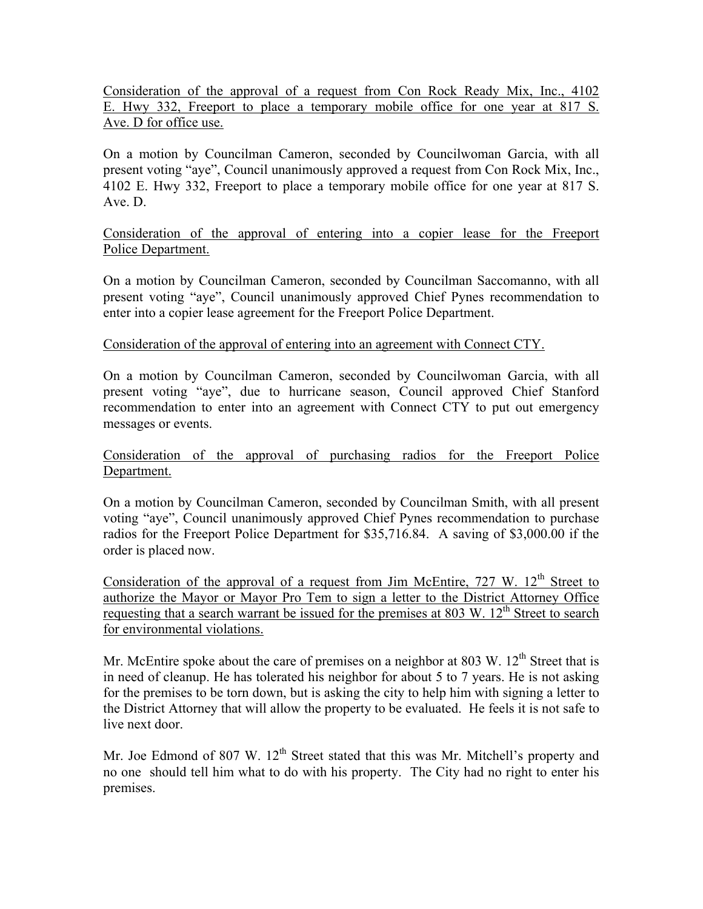Consideration of the approval of a request from Con Rock Ready Mix, Inc., 4102 E. Hwy 332, Freeport to place a temporary mobile office for one year at 817 S. Ave. D for office use.

On a motion by Councilman Cameron, seconded by Councilwoman Garcia, with all present voting "aye", Council unanimously approved a request from Con Rock Mix, Inc., 4102 E. Hwy 332, Freeport to place a temporary mobile office for one year at 817 S. Ave. D.

Consideration of the approval of entering into a copier lease for the Freeport Police Department.

On a motion by Councilman Cameron, seconded by Councilman Saccomanno, with all present voting "aye", Council unanimously approved Chief Pynes recommendation to enter into a copier lease agreement for the Freeport Police Department.

### Consideration of the approval of entering into an agreement with Connect CTY.

On a motion by Councilman Cameron, seconded by Councilwoman Garcia, with all present voting "aye", due to hurricane season, Council approved Chief Stanford recommendation to enter into an agreement with Connect CTY to put out emergency messages or events.

Consideration of the approval of purchasing radios for the Freeport Police Department.

On a motion by Councilman Cameron, seconded by Councilman Smith, with all present voting "aye", Council unanimously approved Chief Pynes recommendation to purchase radios for the Freeport Police Department for \$35,716.84. A saving of \$3,000.00 if the order is placed now.

Consideration of the approval of a request from Jim McEntire,  $727 \text{ W}$ .  $12^{\text{th}}$  Street to authorize the Mayor or Mayor Pro Tem to sign a letter to the District Attorney Office requesting that a search warrant be issued for the premises at 803 W.  $12^{th}$  Street to search for environmental violations.

Mr. McEntire spoke about the care of premises on a neighbor at 803 W.  $12<sup>th</sup>$  Street that is in need of cleanup. He has tolerated his neighbor for about 5 to 7 years. He is not asking for the premises to be torn down, but is asking the city to help him with signing a letter to the District Attorney that will allow the property to be evaluated. He feels it is not safe to live next door.

Mr. Joe Edmond of 807 W.  $12<sup>th</sup>$  Street stated that this was Mr. Mitchell's property and no one should tell him what to do with his property. The City had no right to enter his premises.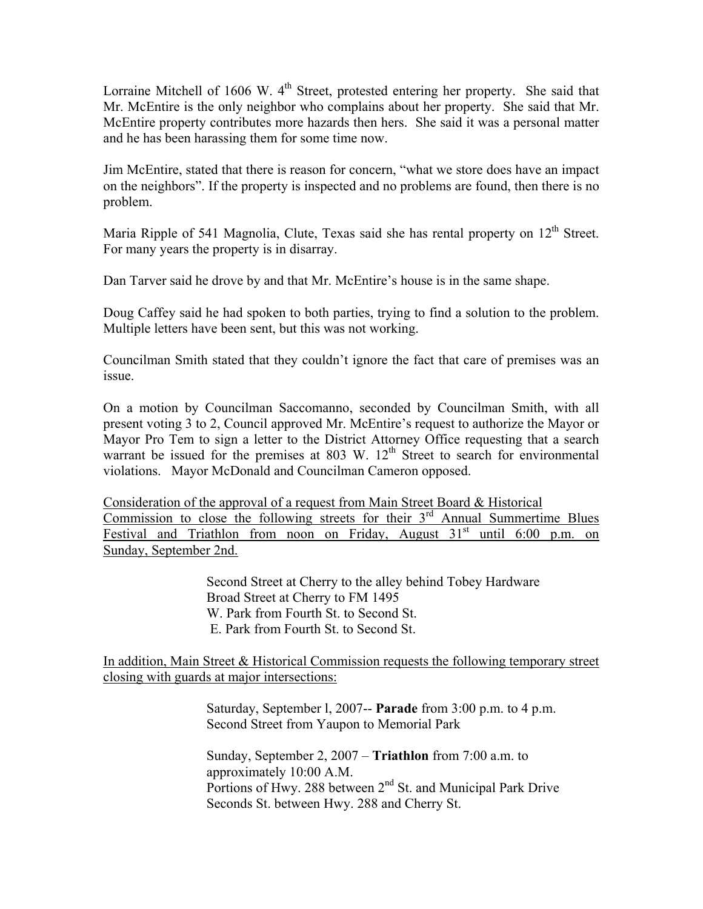Lorraine Mitchell of 1606 W.  $4<sup>th</sup>$  Street, protested entering her property. She said that Mr. McEntire is the only neighbor who complains about her property. She said that Mr. McEntire property contributes more hazards then hers. She said it was a personal matter and he has been harassing them for some time now.

Jim McEntire, stated that there is reason for concern, "what we store does have an impact on the neighbors". If the property is inspected and no problems are found, then there is no problem.

Maria Ripple of 541 Magnolia, Clute, Texas said she has rental property on  $12<sup>th</sup>$  Street. For many years the property is in disarray.

Dan Tarver said he drove by and that Mr. McEntire's house is in the same shape.

Doug Caffey said he had spoken to both parties, trying to find a solution to the problem. Multiple letters have been sent, but this was not working.

Councilman Smith stated that they couldn't ignore the fact that care of premises was an issue.

On a motion by Councilman Saccomanno, seconded by Councilman Smith, with all present voting 3 to 2, Council approved Mr. McEntire's request to authorize the Mayor or Mayor Pro Tem to sign a letter to the District Attorney Office requesting that a search warrant be issued for the premises at 803 W.  $12<sup>th</sup>$  Street to search for environmental violations. Mayor McDonald and Councilman Cameron opposed.

Consideration of the approval of a request from Main Street Board & Historical Commission to close the following streets for their  $3<sup>rd</sup>$  Annual Summertime Blues Festival and Triathlon from noon on Friday, August  $31<sup>st</sup>$  until 6:00 p.m. on Sunday, September 2nd.

> Second Street at Cherry to the alley behind Tobey Hardware Broad Street at Cherry to FM 1495 W. Park from Fourth St. to Second St. E. Park from Fourth St. to Second St.

In addition, Main Street & Historical Commission requests the following temporary street closing with guards at major intersections:

> Saturday, September l, 2007-- **Parade** from 3:00 p.m. to 4 p.m. Second Street from Yaupon to Memorial Park

> Sunday, September 2, 2007 – **Triathlon** from 7:00 a.m. to approximately 10:00 A.M. Portions of Hwy. 288 between 2<sup>nd</sup> St. and Municipal Park Drive Seconds St. between Hwy. 288 and Cherry St.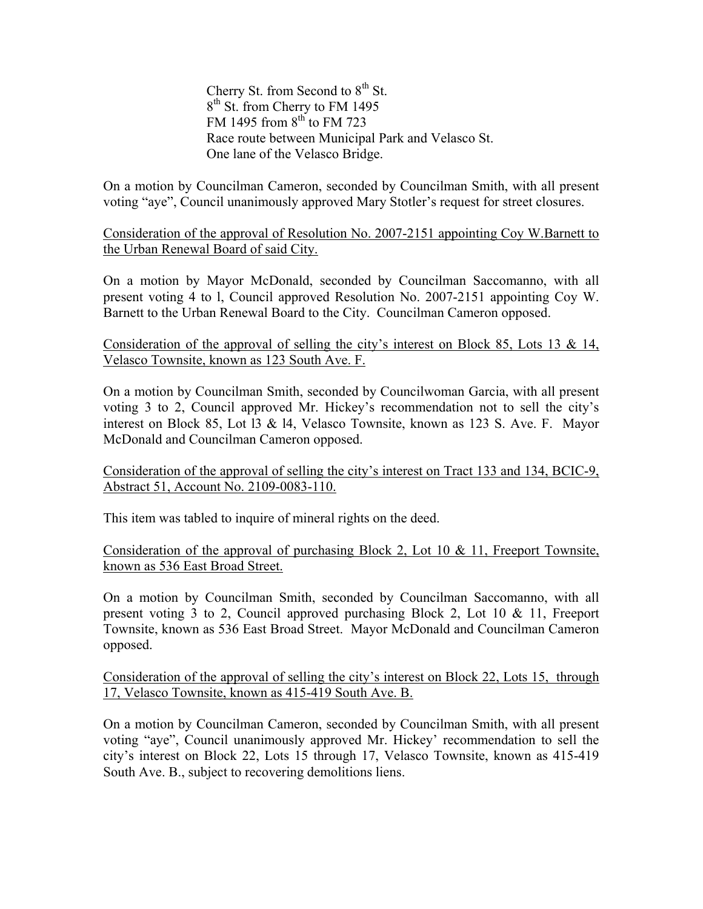Cherry St. from Second to  $8<sup>th</sup>$  St. 8<sup>th</sup> St. from Cherry to FM 1495 FM 1495 from  $8<sup>th</sup>$  to FM 723 Race route between Municipal Park and Velasco St. One lane of the Velasco Bridge.

On a motion by Councilman Cameron, seconded by Councilman Smith, with all present voting "aye", Council unanimously approved Mary Stotler's request for street closures.

Consideration of the approval of Resolution No. 2007-2151 appointing Coy W.Barnett to the Urban Renewal Board of said City.

On a motion by Mayor McDonald, seconded by Councilman Saccomanno, with all present voting 4 to l, Council approved Resolution No. 2007-2151 appointing Coy W. Barnett to the Urban Renewal Board to the City. Councilman Cameron opposed.

Consideration of the approval of selling the city's interest on Block 85, Lots 13 & 14, Velasco Townsite, known as 123 South Ave. F.

On a motion by Councilman Smith, seconded by Councilwoman Garcia, with all present voting 3 to 2, Council approved Mr. Hickey's recommendation not to sell the city's interest on Block 85, Lot l3 & l4, Velasco Townsite, known as 123 S. Ave. F. Mayor McDonald and Councilman Cameron opposed.

Consideration of the approval of selling the city's interest on Tract 133 and 134, BCIC-9, Abstract 51, Account No. 2109-0083-110.

This item was tabled to inquire of mineral rights on the deed.

Consideration of the approval of purchasing Block 2, Lot 10 & 11, Freeport Townsite, known as 536 East Broad Street.

On a motion by Councilman Smith, seconded by Councilman Saccomanno, with all present voting 3 to 2, Council approved purchasing Block 2, Lot 10 & 11, Freeport Townsite, known as 536 East Broad Street. Mayor McDonald and Councilman Cameron opposed.

Consideration of the approval of selling the city's interest on Block 22, Lots 15, through 17, Velasco Townsite, known as 415-419 South Ave. B.

On a motion by Councilman Cameron, seconded by Councilman Smith, with all present voting "aye", Council unanimously approved Mr. Hickey' recommendation to sell the city's interest on Block 22, Lots 15 through 17, Velasco Townsite, known as 415-419 South Ave. B., subject to recovering demolitions liens.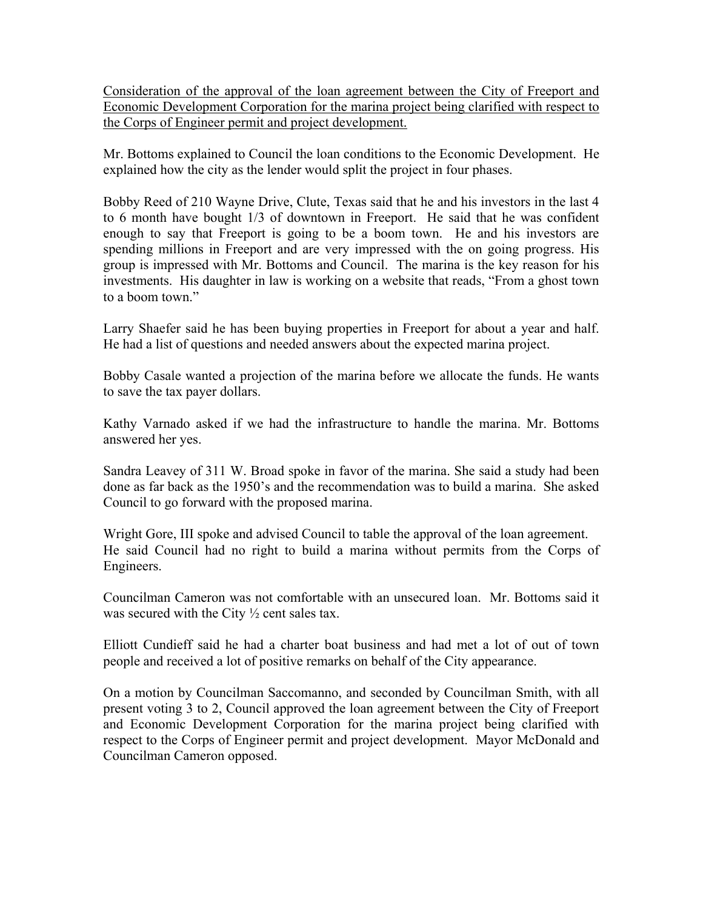Consideration of the approval of the loan agreement between the City of Freeport and Economic Development Corporation for the marina project being clarified with respect to the Corps of Engineer permit and project development.

Mr. Bottoms explained to Council the loan conditions to the Economic Development. He explained how the city as the lender would split the project in four phases.

Bobby Reed of 210 Wayne Drive, Clute, Texas said that he and his investors in the last 4 to 6 month have bought 1/3 of downtown in Freeport. He said that he was confident enough to say that Freeport is going to be a boom town. He and his investors are spending millions in Freeport and are very impressed with the on going progress. His group is impressed with Mr. Bottoms and Council. The marina is the key reason for his investments. His daughter in law is working on a website that reads, "From a ghost town to a boom town."

Larry Shaefer said he has been buying properties in Freeport for about a year and half. He had a list of questions and needed answers about the expected marina project.

Bobby Casale wanted a projection of the marina before we allocate the funds. He wants to save the tax payer dollars.

Kathy Varnado asked if we had the infrastructure to handle the marina. Mr. Bottoms answered her yes.

Sandra Leavey of 311 W. Broad spoke in favor of the marina. She said a study had been done as far back as the 1950's and the recommendation was to build a marina. She asked Council to go forward with the proposed marina.

Wright Gore, III spoke and advised Council to table the approval of the loan agreement. He said Council had no right to build a marina without permits from the Corps of Engineers.

Councilman Cameron was not comfortable with an unsecured loan. Mr. Bottoms said it was secured with the City  $\frac{1}{2}$  cent sales tax.

Elliott Cundieff said he had a charter boat business and had met a lot of out of town people and received a lot of positive remarks on behalf of the City appearance.

On a motion by Councilman Saccomanno, and seconded by Councilman Smith, with all present voting 3 to 2, Council approved the loan agreement between the City of Freeport and Economic Development Corporation for the marina project being clarified with respect to the Corps of Engineer permit and project development. Mayor McDonald and Councilman Cameron opposed.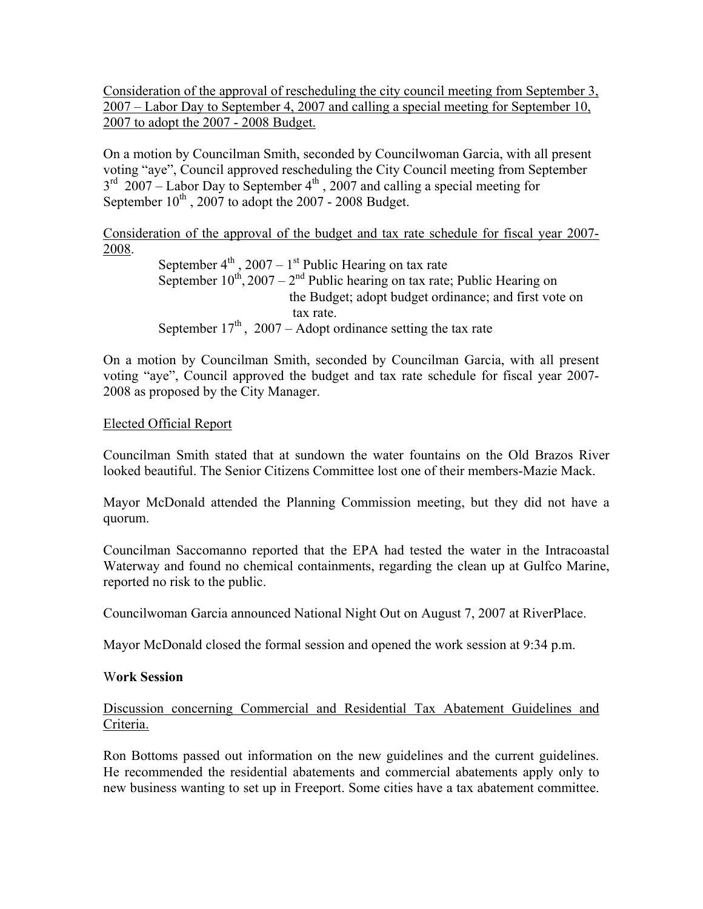Consideration of the approval of rescheduling the city council meeting from September 3, 2007 – Labor Day to September 4, 2007 and calling a special meeting for September 10, 2007 to adopt the 2007 - 2008 Budget.

On a motion by Councilman Smith, seconded by Councilwoman Garcia, with all present voting "aye", Council approved rescheduling the City Council meeting from September  $3<sup>rd</sup>$  2007 – Labor Day to September 4<sup>th</sup>, 2007 and calling a special meeting for September  $10^{th}$ , 2007 to adopt the 2007 - 2008 Budget.

Consideration of the approval of the budget and tax rate schedule for fiscal year 2007- 2008.

September  $4<sup>th</sup>$ , 2007 – 1<sup>st</sup> Public Hearing on tax rate September  $10^{th}$ , 2007 –  $2^{nd}$  Public hearing on tax rate; Public Hearing on the Budget; adopt budget ordinance; and first vote on tax rate. September  $17<sup>th</sup>$ , 2007 – Adopt ordinance setting the tax rate

On a motion by Councilman Smith, seconded by Councilman Garcia, with all present voting "aye", Council approved the budget and tax rate schedule for fiscal year 2007- 2008 as proposed by the City Manager.

### Elected Official Report

Councilman Smith stated that at sundown the water fountains on the Old Brazos River looked beautiful. The Senior Citizens Committee lost one of their members-Mazie Mack.

Mayor McDonald attended the Planning Commission meeting, but they did not have a quorum.

Councilman Saccomanno reported that the EPA had tested the water in the Intracoastal Waterway and found no chemical containments, regarding the clean up at Gulfco Marine, reported no risk to the public.

Councilwoman Garcia announced National Night Out on August 7, 2007 at RiverPlace.

Mayor McDonald closed the formal session and opened the work session at 9:34 p.m.

### W**ork Session**

# Discussion concerning Commercial and Residential Tax Abatement Guidelines and Criteria.

Ron Bottoms passed out information on the new guidelines and the current guidelines. He recommended the residential abatements and commercial abatements apply only to new business wanting to set up in Freeport. Some cities have a tax abatement committee.